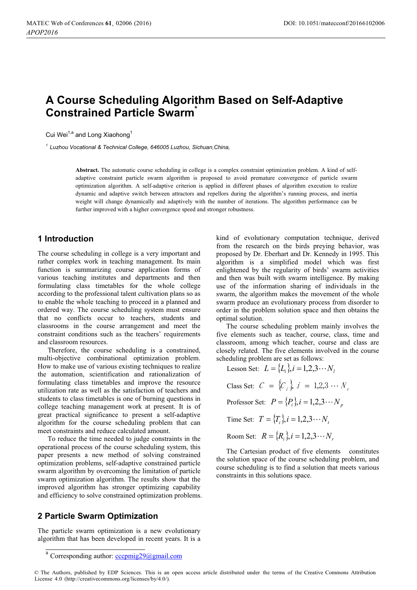# **A Course Scheduling Algorithm Based on Self-Adaptive Constrained Particle Swarm\***

Cui Wei<sup>1,a</sup> and Long Xiaohong<sup>1</sup>

*<sup>1</sup> Luzhou Vocational & Technical College, 646005 Luzhou, Sichuan,China,* 

**Abstract.** The automatic course scheduling in college is a complex constraint optimization problem. A kind of selfadaptive constraint particle swarm algorithm is proposed to avoid premature convergence of particle swarm optimization algorithm. A self-adaptive criterion is applied in different phases of algorithm execution to realize dynamic and adaptive switch between attractors and repellors during the algorithm's running process, and inertia weight will change dynamically and adaptively with the number of iterations. The algorithm performance can be further improved with a higher convergence speed and stronger robustness.

### **1 Introduction**

The course scheduling in college is a very important and rather complex work in teaching management. Its main function is summarizing course application forms of various teaching institutes and departments and then formulating class timetables for the whole college according to the professional talent cultivation plans so as to enable the whole teaching to proceed in a planned and ordered way. The course scheduling system must ensure that no conflicts occur to teachers, students and classrooms in the course arrangement and meet the constraint conditions such as the teachers' requirements and classroom resources.

Therefore, the course scheduling is a constrained, multi-objective combinational optimization problem. How to make use of various existing techniques to realize the automation, scientification and rationalization of formulating class timetables and improve the resource utilization rate as well as the satisfaction of teachers and students to class timetables is one of burning questions in college teaching management work at present. It is of great practical significance to present a self-adaptive algorithm for the course scheduling problem that can meet constraints and reduce calculated amount.

To reduce the time needed to judge constraints in the operational process of the course scheduling system, this paper presents a new method of solving constrained optimization problems, self-adaptive constrained particle swarm algorithm by overcoming the limitation of particle swarm optimization algorithm. The results show that the improved algorithm has stronger optimizing capability and efficiency to solve constrained optimization problems.

# **2 Particle Swarm Optimization**

The particle swarm optimization is a new evolutionary algorithm that has been developed in recent years. It is a kind of evolutionary computation technique, derived from the research on the birds preying behavior, was proposed by Dr. Eberhart and Dr. Kennedy in 1995. This algorithm is a simplified model which was first enlightened by the regularity of birds' swarm activities and then was built with swarm intelligence. By making use of the information sharing of individuals in the swarm, the algorithm makes the movement of the whole swarm produce an evolutionary process from disorder to order in the problem solution space and then obtains the optimal solution.

The course scheduling problem mainly involves the five elements such as teacher, course, class, time and classroom, among which teacher, course and class are closely related. The five elements involved in the course scheduling problem are set as follows:

Lesson Set:  $L = \{L_i\}$ ,  $i = 1, 2, 3 \cdots N_i$ Class Set:  $C = \{C_i\}$ ,  $i = 1, 2, 3 \cdots N_c$ Professor Set:  $P = \{P_i\}, i = 1, 2, 3 \cdots N_p$ Time Set:  $T = \{T_i\}, i = 1, 2, 3 \cdots N_i$ Room Set:  $R = \{R_i\}, i = 1, 2, 3 \cdots N,$ 

The Cartesian product of five elements constitutes the solution space of the course scheduling problem, and course scheduling is to find a solution that meets various constraints in this solutions space.

 $\overline{\text{a}}$  Corresponding author: commig29@gmail.com

<sup>©</sup> The Authors, published by EDP Sciences. This is an open access article distributed under the terms of the Creative Commons Attribution License 4.0 ([http://creativecommons.org/licenses/by/4.0/\).](http://creativecommons.org/licenses/by/4.0/)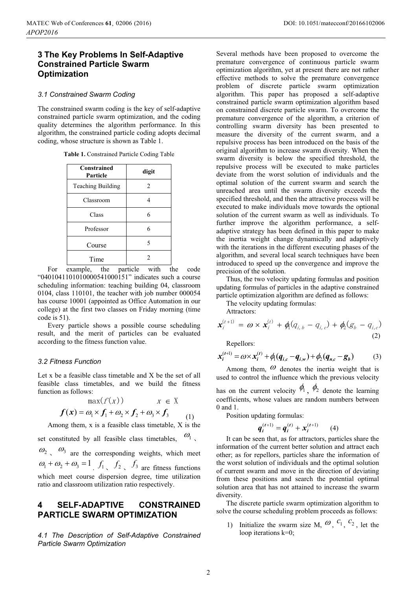# **3 The Key Problems In Self-Adaptive Constrained Particle Swarm Optimization**

#### *3.1 Constrained Swarm Coding*

The constrained swarm coding is the key of self-adaptive constrained particle swarm optimization, and the coding quality determines the algorithm performance. In this algorithm, the constrained particle coding adopts decimal coding, whose structure is shown as Table 1.

| Table 1. Constrained Particle Coding Table |  |
|--------------------------------------------|--|
|--------------------------------------------|--|

| Constrained<br>Particle  | digit |
|--------------------------|-------|
| <b>Teaching Building</b> | 2     |
| Classroom                |       |
| Class                    | 6     |
| Professor                | 6     |
| Course                   | 5     |
| Time                     |       |

For example, the particle with the code "0401041101010000541000151" indicates such a course scheduling information: teaching building 04, classroom 0104, class 110101, the teacher with job number 000054 has course 10001 (appointed as Office Automation in our college) at the first two classes on Friday morning (time code is 51).

Every particle shows a possible course scheduling result, and the merit of particles can be evaluated according to the fitness function value.

#### *3.2 Fitness Function*

Let x be a feasible class timetable and X be the set of all feasible class timetables, and we build the fitness function as follows:

$$
\max(f(x)) \qquad x \in X
$$
  

$$
f(x) = \omega_1 \times f_1 + \omega_2 \times f_2 + \omega_3 \times f_3
$$
  
Among them, x is a feasible class timetable, X is the

set constituted by all feasible class timetables.  $\omega_1$ ,

 $\omega_2$ ,  $\omega_3$  are the corresponding weights, which meet  $\omega_1 + \omega_2 + \omega_3 = 1$ ,  $f_1$ ,  $f_2$ ,  $f_3$  are fitness functions which meet course dispersion degree, time utilization ratio and classroom utilization ratio respectively.

## **4 SELF-ADAPTIVE CONSTRAINED PARTICLE SWARM OPTIMIZATION**

*4.1 The Description of Self-Adaptive Constrained Particle Swarm Optimization* 

Several methods have been proposed to overcome the premature convergence of continuous particle swarm optimization algorithm, yet at present there are not rather effective methods to solve the premature convergence problem of discrete particle swarm optimization algorithm. This paper has proposed a self-adaptive constrained particle swarm optimization algorithm based on constrained discrete particle swarm. To overcome the premature convergence of the algorithm, a criterion of controlling swarm diversity has been presented to measure the diversity of the current swarm, and a repulsive process has been introduced on the basis of the original algorithm to increase swarm diversity. When the swarm diversity is below the specified threshold, the repulsive process will be executed to make particles deviate from the worst solution of individuals and the optimal solution of the current swarm and search the unreached area until the swarm diversity exceeds the specified threshold, and then the attractive process will be executed to make individuals move towards the optional solution of the current swarm as well as individuals. To further improve the algorithm performance, a selfadaptive strategy has been defined in this paper to make the inertia weight change dynamically and adaptively with the iterations in the different executing phases of the algorithm, and several local search techniques have been introduced to speed up the convergence and improve the precision of the solution.

Thus, the two velocity updating formulas and position updating formulas of particles in the adaptive constrained particle optimization algorithm are defined as follows:

The velocity updating formulas:

Attractors:

$$
\mathbf{x}_{i}^{(t+1)} = \boldsymbol{\omega} \times \mathbf{x}_{i}^{(t)} + \phi_{i}(q_{i,b} - q_{i,c}) + \phi_{i}(g_{b} - q_{i,c})
$$
\n(2)

Repellors:

$$
x_i^{(t+1)} = \omega \times x_i^{(t)} + \phi_1(q_{i,c} - q_{i,w}) + \phi_2(q_{n,c} - g_b)
$$
 (3)

Among them,  $\omega$  denotes the inertia weight that is used to control the influence which the previous velocity

has on the current velocity  $\phi_1$ ,  $\phi_2$  denote the learning coefficients, whose values are random numbers between 0 and 1.

Position updating formulas:

$$
q_i^{(t+1)} = q_i^{(t)} + x_i^{(t+1)} \qquad (4)
$$

 $q_i^{(t+1)} = q_i^{(t)} + x_i^{(t+1)}$  (4)<br>It can be seen that, as for attractors, particles share the information of the current better solution and attract each other; as for repellors, particles share the information of the worst solution of individuals and the optimal solution of current swarm and move in the direction of deviating from these positions and search the potential optimal solution area that has not attained to increase the swarm diversity.

The discrete particle swarm optimization algorithm to solve the course scheduling problem proceeds as follows:

1) Initialize the swarm size M,  $\omega$ ,  $c_1$ ,  $c_2$ , let the loop iterations k=0;